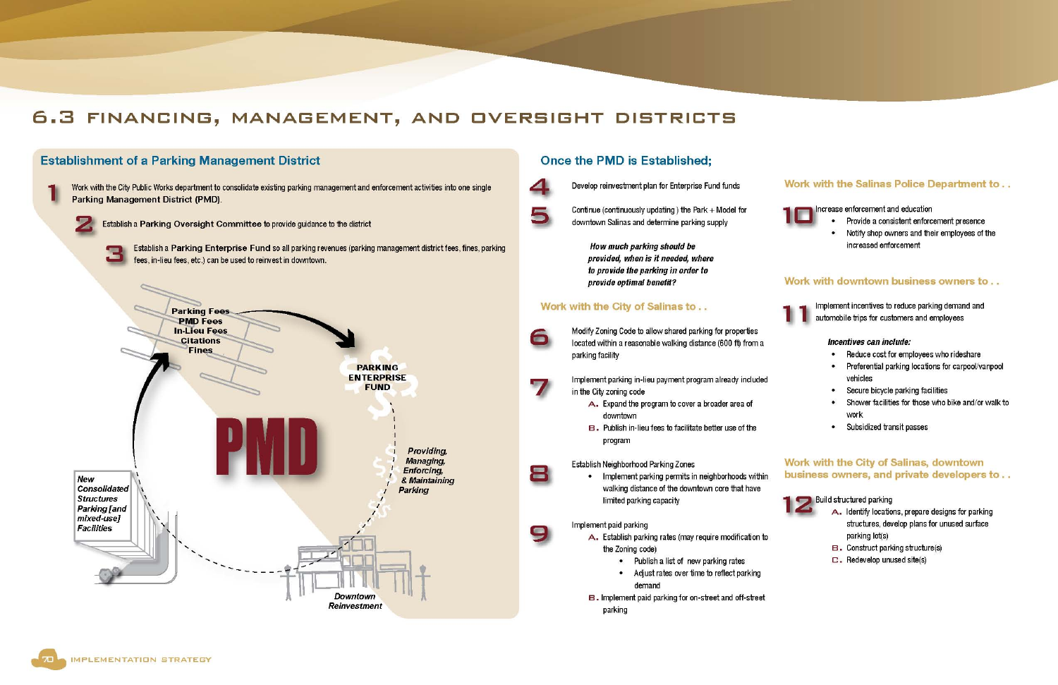## 6.3 FINANCING, MANAGEMENT, AND OVERSIGHT DISTRICTS



#### Work with the Salinas Police Department to..

#### Increase enforcement and education

- Provide a consistent enforcement presence
- Notify shop owners and their employees of the increased enforcement

#### Work with downtown business owners to...



Implement incentives to reduce parking demand and automobile trips for customers and employees

#### Incentives can include:

- Reduce cost for employees who rideshare
- Preferential parking locations for carpool/vanpool vehicles
- Secure bicycle parking facilities
- Shower facilities for those who bike and/or walk to work
- Subsidized transit passes

#### Work with the City of Salinas, downtown business owners, and private developers to...



Build structured parking

- A. Identify locations, prepare designs for parking structures, develop plans for unused surface parking lot(s)
- **B.** Construct parking structure(s)
- $\square$ . Redevelop unused site(s)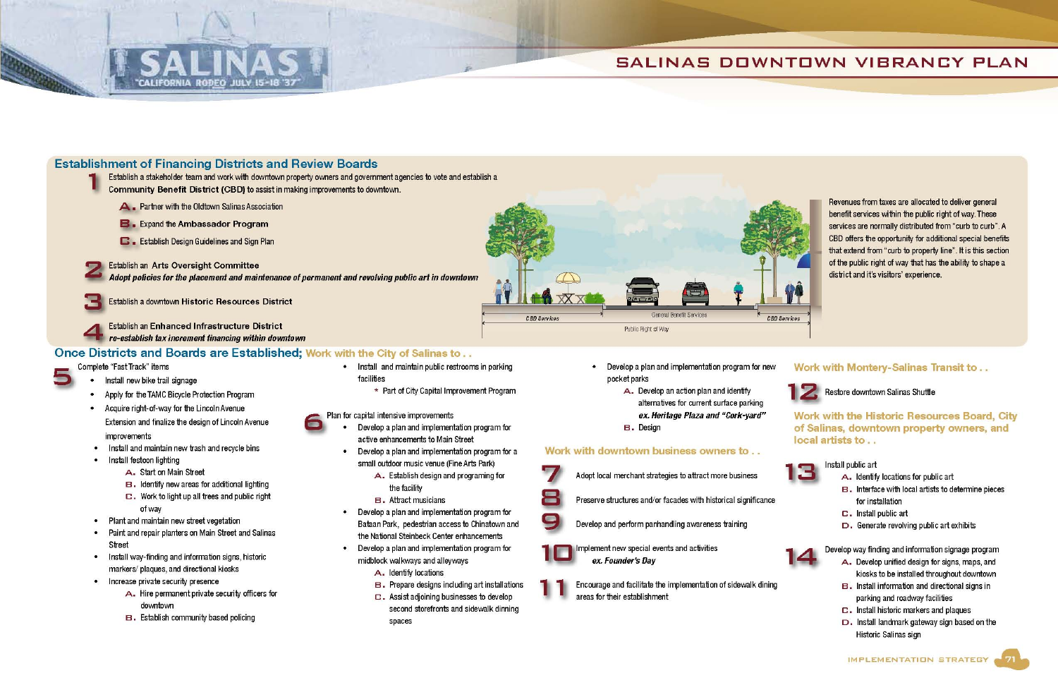

## SALINAS DOWNTOWN VIBRANCY PLAN

### **Establishment of Financing Districts and Review Boards**

Establish a stakeholder team and work with downtown property owners and government agencies to vote and establish a

Community Benefit District (CBD) to assist in making improvements to downtown.

- **A** Partner with the Oldtown Salinas Association
- **B**. Expand the Ambassador Program
- **C.** Establish Design Guidelines and Sign Plan

**Establish an Arts Oversight Committee** Adopt policies for the placement and maintenance of permanent and revolving public art in downtown

Establish a downtown Historic Resources District

**Establish an Enhanced Infrastructure District** re-establish tax increment financing within downtown

#### Once Districts and Boards are Established; Work with the City of Salinas to...

#### Complete "Fast Track" items

- Install new bike trail signage
- Apply for the TAMC Bicycle Protection Program
- Acquire right-of-way for the Lincoln Avenue Extension and finalize the design of Lincoln Avenue improvements
- Install and maintain new trash and recycle bins
- Install festoon lighting
	- A. Start on Main Street
	- B. Identify new areas for additional lighting
	- $\square$ . Work to light up all trees and public right of way
- Plant and maintain new street vegetation
- Paint and repair planters on Main Street and Salinas Street
- Install way-finding and information signs, historic markers/plaques, and directional kiosks
- Increase private security presence
	- A. Hire permanent private security officers for downtown
	- **B.** Establish community based policing
- Install and maintain public restrooms in parking facilities
	- \* Part of City Capital Improvement Program

Plan for capital intensive improvements

- Develop a plan and implementation program for active enhancements to Main Street
- Develop a plan and implementation program for a small outdoor music venue (Fine Arts Park)
	- A. Establish design and programing for the facility
	- B. Attract musicians
- Develop a plan and implementation program for Bataan Park, pedestrian access to Chinatown and the National Steinbeck Center enhancements
- Develop a plan and implementation program for midblock walkways and alleyways
	- A. Identify locations
	- **B.** Prepare designs including art installations
	- $\square$ . Assist adjoining businesses to develop second storefronts and sidewalk dinning spaces

Develop a plan and implementation program for new pocket parks

**General Benefit Services** 

- A. Develop an action plan and identify
- alternatives for current surface parking
- ex. Heritage Plaza and "Cork-yard"
- **B.** Design

Public Right of Way

#### Work with downtown business owners to . .



Preserve structures and/or facades with historical significance



Develop and perform panhandling awareness training



- Implement new special events and activities ex. Founder's Day
- Encourage and facilitate the implementation of sidewalk dining areas for their establishment



**CBD Services** 



Revenues from taxes are allocated to deliver general benefit services within the public right of way. These services are normally distributed from "curb to curb". A CBD offers the opportunity for additional special benefits that extend from "curb to property line". It is this section of the public right of way that has the ability to shape a district and it's visitors' experience.

#### Work with Montery-Salinas Transit to..



Restore downtown Salinas Shuttle

Work with the Historic Resources Board, City of Salinas, downtown property owners, and local artists to ...



#### Install public art

- A. Identify locations for public art
- B. Interface with local artists to determine pieces for installation
- C. Install public art
- $D$ . Generate revolving public art exhibits



Develop way finding and information signage program

- A. Develop unified design for signs, maps, and kiosks to be installed throughout downtown
- B. Install information and directional signs in parking and roadway facilities
- C. Install historic markers and plaques
- D. Install landmark gateway sign based on the Historic Salinas sign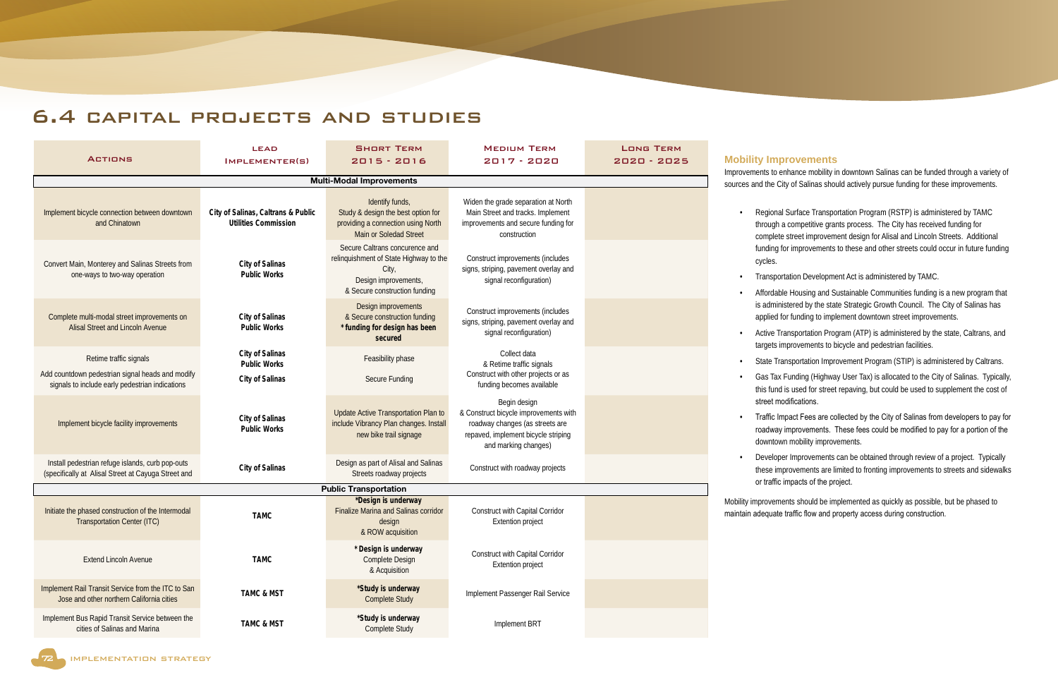## 6.4 capital projects and studies

| <b>ACTIONS</b>                                                                                          | <b>LEAD</b><br>IMPLEMENTER(S)                                     | <b>SHORT TERM</b><br>$2015 - 2016$                                                                                                         | <b>MEDIUM TERM</b><br>2017 - 2020                                                                                                                       | <b>LONG TERM</b><br>2020 - 2025 |
|---------------------------------------------------------------------------------------------------------|-------------------------------------------------------------------|--------------------------------------------------------------------------------------------------------------------------------------------|---------------------------------------------------------------------------------------------------------------------------------------------------------|---------------------------------|
|                                                                                                         |                                                                   | <b>Multi-Modal Improvements</b>                                                                                                            |                                                                                                                                                         |                                 |
|                                                                                                         |                                                                   |                                                                                                                                            |                                                                                                                                                         |                                 |
| Implement bicycle connection between downtown<br>and Chinatown                                          | City of Salinas, Caltrans & Public<br><b>Utilities Commission</b> | Identify funds,<br>Study & design the best option for<br>providing a connection using North<br>Main or Soledad Street                      | Widen the grade separation at North<br>Main Street and tracks. Implement<br>improvements and secure funding for<br>construction                         |                                 |
| Convert Main, Monterey and Salinas Streets from<br>one-ways to two-way operation                        | City of Salinas<br><b>Public Works</b>                            | Secure Caltrans concurence and<br>relinquishment of State Highway to the<br>City,<br>Design improvements,<br>& Secure construction funding | Construct improvements (includes<br>signs, striping, pavement overlay and<br>signal reconfiguration)                                                    |                                 |
| Complete multi-modal street improvements on<br><b>Alisal Street and Lincoln Avenue</b>                  | City of Salinas<br><b>Public Works</b>                            | Design improvements<br>& Secure construction funding<br>* funding for design has been<br>secured                                           | Construct improvements (includes<br>signs, striping, pavement overlay and<br>signal reconfiguration)                                                    |                                 |
| Retime traffic signals                                                                                  | City of Salinas<br><b>Public Works</b>                            | Feasibility phase                                                                                                                          | Collect data<br>& Retime traffic signals                                                                                                                |                                 |
| Add countdown pedestrian signal heads and modify<br>signals to include early pedestrian indications     | City of Salinas                                                   | Secure Funding                                                                                                                             | Construct with other projects or as<br>funding becomes available                                                                                        |                                 |
| Implement bicycle facility improvements                                                                 | City of Salinas<br><b>Public Works</b>                            | Update Active Transportation Plan to<br>include Vibrancy Plan changes. Install<br>new bike trail signage                                   | Begin design<br>& Construct bicycle improvements with<br>roadway changes (as streets are<br>repaved, implement bicycle striping<br>and marking changes) |                                 |
| Install pedestrian refuge islands, curb pop-outs<br>(specifically at Alisal Street at Cayuga Street and | City of Salinas                                                   | Design as part of Alisal and Salinas<br>Streets roadway projects                                                                           | Construct with roadway projects                                                                                                                         |                                 |
|                                                                                                         |                                                                   | <b>Public Transportation</b>                                                                                                               |                                                                                                                                                         |                                 |
| Initiate the phased construction of the Intermodal<br><b>Transportation Center (ITC)</b>                | TAMC                                                              | *Design is underway<br>Finalize Marina and Salinas corridor<br>design<br>& ROW acquisition                                                 | Construct with Capital Corridor<br><b>Extention project</b>                                                                                             |                                 |
| <b>Extend Lincoln Avenue</b>                                                                            | TAMC                                                              | * Design is underway<br>Complete Design<br>& Acquisition                                                                                   | Construct with Capital Corridor<br><b>Extention project</b>                                                                                             |                                 |
| Implement Rail Transit Service from the ITC to San<br>Jose and other northern California cities         | <b>TAMC &amp; MST</b>                                             | *Study is underway<br><b>Complete Study</b>                                                                                                | Implement Passenger Rail Service                                                                                                                        |                                 |
| Implement Bus Rapid Transit Service between the<br>cities of Salinas and Marina                         | <b>TAMC &amp; MST</b>                                             | *Study is underway<br>Complete Study                                                                                                       | Implement BRT                                                                                                                                           |                                 |

#### **Improvements**

If to enhance mobility in downtown Salinas can be funded through a variety of he City of Salinas should actively pursue funding for these improvements.

vional Surface Transportation Program (RSTP) is administered by TAMC ugh a competitive grants process. The City has received funding for plete street improvement design for Alisal and Lincoln Streets. Additional funding for improvements to these and other streets could occur in future funding

hsportation Development Act is administered by TAMC.

- rdable Housing and Sustainable Communities funding is a new program that dministered by the state Strategic Growth Council. The City of Salinas has lied for funding to implement downtown street improvements.
- ve Transportation Program (ATP) is administered by the state, Caltrans, and ets improvements to bicycle and pedestrian facilities.
- te Transportation Improvement Program (STIP) is administered by Caltrans.
- Fax Funding (Highway User Tax) is allocated to the City of Salinas. Typically, fund is used for street repaving, but could be used to supplement the cost of et modifications.
- ffic Impact Fees are collected by the City of Salinas from developers to pay for dway improvements. These fees could be modified to pay for a portion of the intown mobility improvements.
- eloper Improvements can be obtained through review of a project. Typically se improvements are limited to fronting improvements to streets and sidewalks raffic impacts of the project.
- vements should be implemented as quickly as possible, but be phased to juate traffic flow and property access during construction.